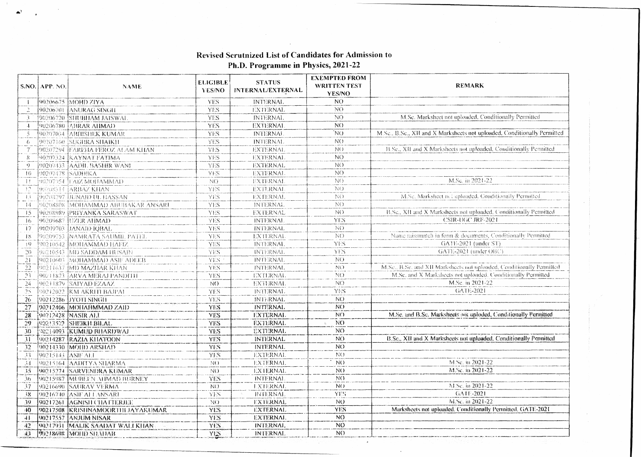## Revised Scrutnized List of Candidates for Admission to

Ph.D. Programme in Physics, 2021-22

|                        | SNO, APP, NO. | <b>NAME</b>                        | <b>ELIGIBLE</b><br><b>YES/NO</b> | <b>STATUS</b><br><b>INTERNAL/EXTERNAL</b> | <b>EXEMPTED FROM</b><br><b>WRITTEN TEST</b> | <b>REMARK</b>                                                            |
|------------------------|---------------|------------------------------------|----------------------------------|-------------------------------------------|---------------------------------------------|--------------------------------------------------------------------------|
|                        |               |                                    |                                  |                                           | YES/NO                                      |                                                                          |
|                        |               | 90206675 MOHD ZIYA                 | <b>YES</b>                       | <b>INTERNAL</b>                           | NO.                                         |                                                                          |
|                        | 90206701      | ANURAG SINGH                       | <b>YES</b>                       | <b>EXTERNAL</b>                           | NO <sub></sub>                              |                                                                          |
| -3                     | 190206720     | <b>SHUBHAM JAISWAL</b>             | <b>YES</b>                       | <b>INTERNAL</b>                           | NO.                                         | M.Se. Marksheet not uploaded. Conditionally Permitted                    |
| $\overline{1}$         |               | [90206780   ABRAR AHMAD            | <b>YES</b>                       | <b>EXTERNAI</b>                           | N()                                         |                                                                          |
|                        | 90207034      | <b>ABITISHEK KUMAR</b>             | <b>YES</b>                       | <b>INTERNAI</b>                           | 'NO                                         | M.Sc., B.Sc., XII and X Marksheets not uploaded, Conditionally Permitted |
| 6.                     |               | 90207160 SUGHRA SHAIKH             | <b>YES</b>                       | <b>INTERNAL</b>                           | N()                                         |                                                                          |
| $\tau$                 |               | 90207294 [FAREHA FEROZ ALAM KIIAN  | <b>YES</b>                       | <b>EXTERNAI</b>                           | N()                                         | B.Se., XII and X Marksheets not uploaded, Conditionally Permitted        |
| $\mathcal{S}$          |               | 90207324 KAYNAT FATIMA             | <b>YES</b>                       | <b>EXTERNAL</b>                           | NO.                                         |                                                                          |
| $\Omega$               |               | 90207433 [AADIL BASHIR WANI        | <b>YES</b>                       | <b>EXTERNAL</b>                           | N()                                         |                                                                          |
| 10                     |               | 90207478 SADHIKA                   | <b>YES</b>                       | <b>EXTERNAI</b>                           | NO.                                         |                                                                          |
| $\left  \cdot \right $ |               | 90207954 [FAIZ MOHAMMAD]           | N()                              | <b>EXTERNAI</b>                           | N()                                         | M.Sc. in 2021-22                                                         |
| -12                    |               | 90208314 ARBAZ KHAN                | <b>YES</b>                       | <b>EXTERNAI</b>                           | N()                                         |                                                                          |
| $\pm 1$                |               | 99208797 JUNAID UL HASSAN          | <b>YES</b>                       | <b>EXTERNAL</b>                           | N()                                         | M.Sc. Marksheet nct uploaded. Conditionally Permitted                    |
| -14                    |               | 90208808  MOHAMMAD ABUBAKAR ANSARI | <b>YES</b>                       | <b>INTERNAL</b>                           | N()                                         |                                                                          |
| -15                    |               | 90208989 PRIYANKA SARASWAT!        | <b>YES</b>                       | <b>EXTERNAL</b>                           | N()                                         | B.Se., XII and X Marksheets not uploaded, Conditionally Permitted        |
| 16                     | 90209687      | <b>UZER AHMAD</b>                  | <b>YES</b>                       | <b>INTERNAI</b>                           | <b>YES</b>                                  | <b>CSIR-UGC JRF-2021</b>                                                 |
| 17                     |               | 90209703  JANAIÐ IQBAL             | <b>YES</b>                       | <b>INTERNAL</b>                           | NO                                          |                                                                          |
| 18                     | 90209753      | NAMRATA SAUMIL PATEL               | <b>YES</b>                       | EXTERNAL                                  | N()                                         | Name missmatch in form & documents, Conditionally Permitted              |
| $+9$                   | 90210542      | MOITAMMAD HAFIZ                    | <b>YES</b>                       | <b>INTERNAL</b>                           | YES                                         | GATE-2021 (under ST)                                                     |
| 20                     |               | 90210543 MD SADDAM HUSAIN          | <b>YES</b>                       | <b>INTERNAL</b>                           | <b>YES</b>                                  | GATE-2021 (under OBC)                                                    |
| 21                     |               | 90210603   MOHAMMAD ASIF ADEEB     | <b>YES</b>                       | <b>INTERNAL</b>                           | NO.                                         |                                                                          |
| 22                     |               | 90211637 MD MAZHAR KHAN            | <b>YES</b>                       | <b>INTERNAL</b>                           | N()                                         | M.Sc., B.Se. and XII Marksheets not uploaded, Conditionally Permitted    |
| 23                     |               | 90211873 ARVA MERAJ PANDITH        | <b>YES</b>                       | <b>EXTERNAL</b>                           | N()                                         | M.Se, and X Marksheets not uploaded. Conditionally Permitted             |
| 24                     |               | 90211879   SAIYAD EZAAZ            | NO.                              | <b>EXTERNAL</b>                           | N()                                         | M.Sc. in 2021-22                                                         |
| 25                     |               | 90212022 KM AKRITI BAJPAI          | <b>YES</b>                       | INTERNAL                                  | <b>YES</b>                                  | <b>GATE-2021</b>                                                         |
| 26                     |               | 90212286 JJYOTI SINGH              | YES                              | <b>INTERNAL</b>                           | NO                                          |                                                                          |
| 27                     |               | [90212406  МОНАНММАD ZAII)         | YES <sup></sup>                  | <b>INTERNAL</b>                           | N()                                         |                                                                          |
| 28                     |               | 90212428 NASIR ALL                 | YES                              | <b>EXTERNAL</b>                           | N()                                         | M.Se. and B.Sc. Marksheets ant uploded, Conditionally Permitted          |
| -29                    | 90213572      | SHEIKH BILAL                       | <b>YES</b>                       | <b>EXTERNAL</b>                           | NO.                                         |                                                                          |
| 30                     | 90214093      | KUMUD BHARDWAJ                     | YES <sup></sup>                  | <b>EXTERNAL</b>                           | NO.                                         |                                                                          |
| 31                     | 90214287      | RAZIA KHATOON                      | <b>YES</b>                       | <b>INTERNAL</b>                           | NO.                                         | B.Se., XII and X Marksheets not uploaded. Conditionally Permitted        |
| $\overline{32}$        |               | 90214330 MOHD ARSITAD              | YES                              | <b>INTERNAL</b>                           | NO.                                         |                                                                          |
| 33.                    | 90215143      | ASIF ALI                           | <b>YES</b>                       | <b>EXTERNAL</b>                           | NO                                          |                                                                          |
| 34                     |               | 90215164 JAADITYA SHARMA           | N()                              | <b>EXTERNAL</b>                           | N()                                         | M.Sc. in 2021-22                                                         |
| 35                     |               | 90215274  SARVISNDRA KUMAR         | N()                              | EXTERNAL                                  | N()                                         | M.Sc. in 2021-22                                                         |
| 36                     | 90215987      | MUBEEN AHMAD BURNEY                | YES                              | <b>INTERNAI</b>                           | N()                                         |                                                                          |
| 37                     | 90216690      | <b>SAURAV VERMA</b>                | N()                              | <b>EXTERNAL</b>                           | N()                                         | M.Se. in 2021-22                                                         |
| 38                     | 90216740      | ASIF ALLANSARI                     | YES                              | <b>INTERNAL</b>                           | YES                                         | GATE-2021                                                                |
| 39                     | 90217261      | AGNISH CHATTERJEK                  | N()                              | <b>EXTERNAL</b>                           | N()                                         | M.Sc. in 2021-22                                                         |
| 40                     |               | 90217508 KRISHNAMOORTHLJAYAKUMAR   | YES                              | <b>EXTERNAL</b>                           | YES                                         | Marksheets not uploaded. Conditionally Permitted. GATE-2021              |
| 41                     |               | 90217557 ANJUM NISAR               | YES                              | <b>EXTERNAL</b>                           | NO.                                         |                                                                          |
| 42                     |               | 90217931 MALIK SAADAT WALLKHAN     | YES.                             | <b>INTERNAL</b>                           | <b>NO</b>                                   |                                                                          |
| $\mathbf{A}$           |               | <b>FOO LSGOS IMOUD SILVITAR</b>    | <b>YES</b>                       | <b>INTERNAL</b>                           | NO.                                         |                                                                          |

 $\mathbf{A}$ 

 $\alpha$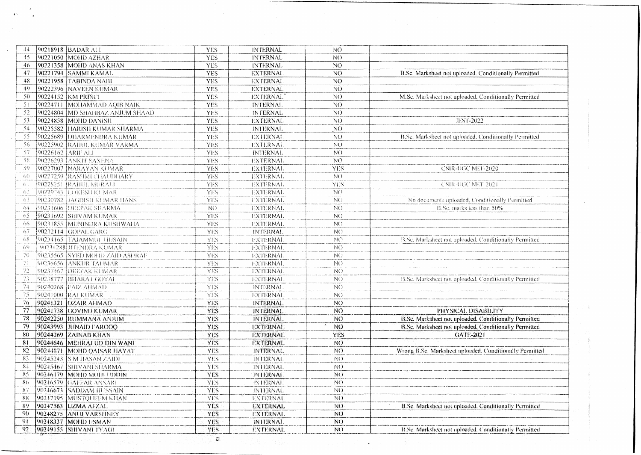| 90218918 BADAR ALI<br>44.                          | <b>YES</b>        | <b>INTERNAL</b>             | NO.             |                                                         |
|----------------------------------------------------|-------------------|-----------------------------|-----------------|---------------------------------------------------------|
| 45<br>90221050 MOHD AZHAR                          | <b>YES</b>        | <b>INTERNAL</b>             | NO.             |                                                         |
| 46<br>[90221358] MOHD ANAS KHAN                    | <b>YES</b>        | <b>INTERNAL</b>             | NO.             |                                                         |
| 90221794 SAMMI KAMAL<br>47                         | <b>YES</b>        | <b>EXTERNAL</b>             | NO <sub>1</sub> | B.Sc. Marksheet not uploaded. Conditionally Permitted   |
| 90221958 TABINDA NABI<br>48                        | <b>YES</b>        | <b>EXTERNAL</b>             | N <sub>O</sub>  |                                                         |
| 49<br>90222396 NAVEEN KUMAR                        | <b>YES</b>        | <b>EXTERNAL</b>             | NO              |                                                         |
| 90224152 KM PRINCI<br>50                           | <b>YES</b>        | <b>EXTERNAL</b>             | NO.             | M.Sc. Marksheet not uploaded, Conditionally Permitted   |
| 90224711 MOHAMMAD AQIB NAIK<br>52                  | <b>YES</b>        | <b>INTERNAL</b>             | NO.             |                                                         |
| 90224804  MD SHAHBAZ ANJUM SHAAD                   | <b>YES</b>        | <b>INTERNAL</b>             | NO.             |                                                         |
| -53<br>90224858 MOHD DANISH<br>54                  | <b>YES</b>        | <b>EXTERNAL</b>             | NO.             | JEST-2022                                               |
| 90225582 HARISH KUMAR SHARMA                       | <b>YES</b>        | <b>INTERNAL</b>             | N()             |                                                         |
| [90225689] DHARMENDRA KUMAR                        | <b>YES</b>        | EXTERNAL                    | NO.             | B.Se, Marksheet not uploaded, Conditionally Permitted   |
| 90225902  RAHH, KUMAR VARMA                        | <b>YES</b>        | EXTERNAL                    | N()             |                                                         |
| 57<br>90226162<br> ARIF ALI                        | <b>YES</b>        | <b>INTERNAL</b>             | NO.             |                                                         |
| -58.<br>90226293 ANKIT SAXENA<br>59.               | <b>YES</b>        | <b>EXTERNAL</b>             | NO.             |                                                         |
| 90227007 [NARAYAN KUMAR                            | <b>YES</b>        | <b>EXTERNAL</b>             | <b>YES</b>      | <b>CSIR-UGC NET-2020</b>                                |
| 90227259 RASHMI CHAUDHARY<br>90228251 RAIDL MURALI | <b>YES</b>        | EXTERNAL                    | N()             | CSIR-UGC NET-2021                                       |
| [90229743] LOKESH KUMAR<br>-62                     | YES<br><b>YES</b> | <b>EXTERNAL</b>             | YES.<br>N()     |                                                         |
| 90230782  JAGDISH KUMAR HANS<br>-63.               | <b>YES</b>        | EXTERNAL<br><b>EXTERNAL</b> | N()             | No documents uploaded, Conditionally Permitted          |
| 90231606 DEEPAK SHARMA<br>-64                      | N()               | <b>EXTERNAL</b>             | N()             | B.Sc. marks less than 50%                               |
| [90231692] SHIVAM KUMAR                            | <b>YES</b>        | EXTERNAL                    | NO.             |                                                         |
| 65.<br> 90231855  MUNINDRA KUSHWAHA<br>-66         | <b>YES</b>        | EXTERNAL                    | N()             |                                                         |
| 90232114 GOPAL GARG                                | <b>YES</b>        | <b>INTERNAL</b>             | N()             |                                                         |
| 90234165 TAJAMMUL HUSAIN                           | <b>YES</b>        | <b>EXTERNAL</b>             | -NO             | B.Sc. Marksheet not uploaded. Conditionally Permitted   |
| 90234288 DITENDRA KUMAR<br>-69.                    | <b>YES</b>        | <b>EXTERNAL</b>             | NO.             |                                                         |
| 90235565 SYED MOHD ZAID ASHRAF                     | <b>YES</b>        | <b>EXTERNAL</b>             | N()             |                                                         |
| 70.<br>90236656 ANKUR TAUMAR                       | <b>YES</b>        | <b>EXTERNAL</b>             | N()             |                                                         |
| 72.<br>90237467 DEEPAK KUMAR                       | <b>YES</b>        | <b>EXTERNAL</b>             | N()             |                                                         |
| [90238777] [BHARAT GOYAL                           | <b>YES</b>        | <b>EXTERNAL</b>             | N()             | B.Sc. Marksheet not uploaded, Conditionally Permitted   |
| 90240268 FAIZ AHMAD                                | <b>YES</b>        | <b>INTERNAL</b>             | N()             |                                                         |
| 90241000 RAJ KUMAR                                 | <b>YES</b>        | <b>EXTERNAL</b>             | NO.             |                                                         |
| 90241321 OZAIR AHMAD<br>76                         | <b>YES</b>        | <b>INTERNAL</b>             | N()             |                                                         |
| 90241738 GOVIND KUMAR<br>77                        | <b>YES</b>        | <b>INTERNAL</b>             | NO.             | PHYSICAL DISABILITY                                     |
| 90242250 RUMMANA ANJUM                             | YES               | <b>INTERNAL</b>             | NO <sup>1</sup> | B.Sc. Marksheet not uploaded, Conditionally Permitted   |
| 90243993 JUNAID FAROOQ                             | <b>YES</b>        | EXTERNAL                    | NO <sub>1</sub> | B.Sc. Marksheet not uploaded, Conditionally Permitted   |
| 90244269   ZAINAB KHAN                             | YES               | <b>EXTERNAL</b>             | <b>YES</b>      | GATE-2021                                               |
| 90244646   MEHRAJ UD DIN WANI                      | <b>YES</b>        | <b>EXTERNAL</b>             | -NO             |                                                         |
| -82<br>[90244871] [MOHD QAISAR HAYAT               | YES.              | <b>INTERNAL</b>             | N()             | Wrong B.Sc. Marksheet uploaded. Conditionally Permitted |
| [90245243] IS M HASAN ZAIDI                        | <b>YES</b>        | <b>INTERNAL</b>             | N()             |                                                         |
| $8+$<br>[90245467] SHIVANI SHARMA                  | <b>YES</b>        | <b>INTERNAL</b>             | N()             |                                                         |
| 85.<br>90246179 MOHD MOHLUDDIN                     | <b>YES</b>        | <b>INTERNAL</b>             | N()             |                                                         |
| 90246579 GAFFAR ANSARI                             | <b>YES</b>        | <b>INTERNAL</b>             | $\overline{NO}$ |                                                         |
| 90246673 SADDAM HUSSAIN                            | <b>YES</b>        | <b>INTERNAL</b>             | N()             |                                                         |
| 90247195 MUSTQUEEM KHAN<br>88.                     | <b>YES</b>        | <b>EXTERNAL</b>             | N()             |                                                         |
| 90247563 UZMA AFZAL<br>-89                         | YES.              | <b>EXTERNAL</b>             | N()             | B.Se. Marksheet not uploaded. Conditionally Permitted   |
| 90248275 ANUJ VARSHNEY<br>90.                      | <b>YES</b>        | <b>EXTERNAL</b>             | NO.             |                                                         |
| -911<br>[90248337 MOHD USMAN<br>-92.               | YES               | <b>INTERNAL</b>             | NO              |                                                         |
| 90249155 SHIVANI TYAGI                             | <b>YES</b>        | <b>EXTERNAL</b>             | N()             | B.Sc. Marksheet not uploaded. Conditionally Permitted   |

 $\mathcal{L}_{\text{max}}$